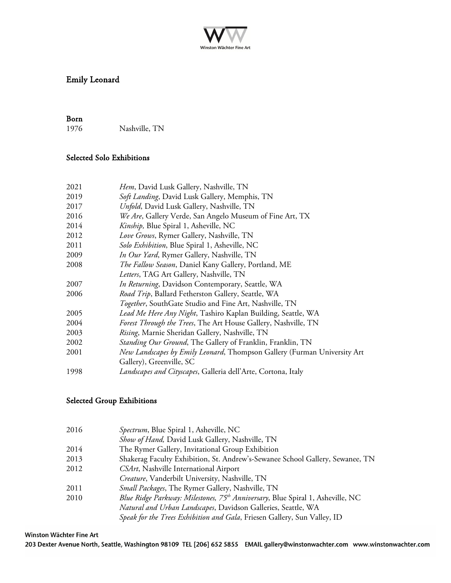

# Emily Leonard

**Born**<br>1976 Nashville, TN

## Selected Solo Exhibitions

| 2021 | Hem, David Lusk Gallery, Nashville, TN                                   |
|------|--------------------------------------------------------------------------|
| 2019 | Soft Landing, David Lusk Gallery, Memphis, TN                            |
| 2017 | Unfold, David Lusk Gallery, Nashville, TN                                |
| 2016 | We Are, Gallery Verde, San Angelo Museum of Fine Art, TX                 |
| 2014 | Kinship, Blue Spiral 1, Asheville, NC                                    |
| 2012 | Love Grows, Rymer Gallery, Nashville, TN                                 |
| 2011 | Solo Exhibition, Blue Spiral 1, Asheville, NC                            |
| 2009 | <i>In Our Yard</i> , Rymer Gallery, Nashville, TN                        |
| 2008 | The Fallow Season, Daniel Kany Gallery, Portland, ME                     |
|      | Letters, TAG Art Gallery, Nashville, TN                                  |
| 2007 | In Returning, Davidson Contemporary, Seattle, WA                         |
| 2006 | Road Trip, Ballard Fetherston Gallery, Seattle, WA                       |
|      | <i>Together</i> , SouthGate Studio and Fine Art, Nashville, TN           |
| 2005 | Lead Me Here Any Night, Tashiro Kaplan Building, Seattle, WA             |
| 2004 | Forest Through the Trees, The Art House Gallery, Nashville, TN           |
| 2003 | Rising, Marnie Sheridan Gallery, Nashville, TN                           |
| 2002 | Standing Our Ground, The Gallery of Franklin, Franklin, TN               |
| 2001 | New Landscapes by Emily Leonard, Thompson Gallery (Furman University Art |
|      | Gallery), Greenville, SC                                                 |
| 1998 | Landscapes and Cityscapes, Galleria dell'Arte, Cortona, Italy            |

#### Selected Group Exhibitions

| 2016 | Spectrum, Blue Spiral 1, Asheville, NC                                                     |
|------|--------------------------------------------------------------------------------------------|
|      | Show of Hand, David Lusk Gallery, Nashville, TN                                            |
| 2014 | The Rymer Gallery, Invitational Group Exhibition                                           |
| 2013 | Shakerag Faculty Exhibition, St. Andrew's-Sewanee School Gallery, Sewanee, TN              |
| 2012 | CSArt, Nashville International Airport                                                     |
|      | Creature, Vanderbilt University, Nashville, TN                                             |
| 2011 | <i>Small Packages</i> , The Rymer Gallery, Nashville, TN                                   |
| 2010 | Blue Ridge Parkway: Milestones, 75 <sup>th</sup> Anniversary, Blue Spiral 1, Asheville, NC |
|      | Natural and Urban Landscapes, Davidson Galleries, Seattle, WA                              |
|      | Speak for the Trees Exhibition and Gala, Friesen Gallery, Sun Valley, ID                   |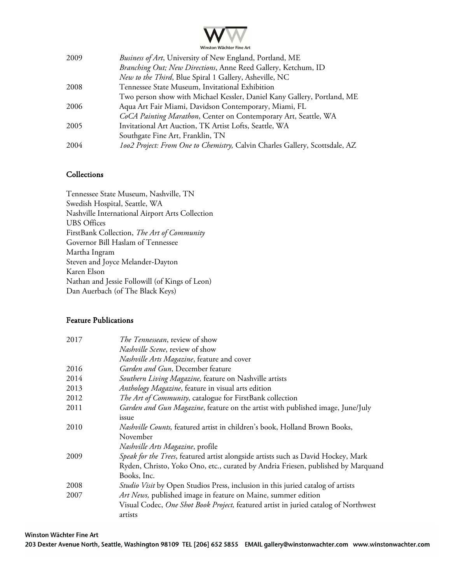

| Two person show with Michael Kessler, Daniel Kany Gallery, Portland, ME     |
|-----------------------------------------------------------------------------|
|                                                                             |
| CoCA Painting Marathon, Center on Contemporary Art, Seattle, WA             |
|                                                                             |
|                                                                             |
| 1002 Project: From One to Chemistry, Calvin Charles Gallery, Scottsdale, AZ |
|                                                                             |

### **Collections**

Tennessee State Museum, Nashville, TN Swedish Hospital, Seattle, WA Nashville International Airport Arts Collection UBS Offices FirstBank Collection, *The Art of Community* Governor Bill Haslam of Tennessee Martha Ingram Steven and Joyce Melander-Dayton Karen Elson Nathan and Jessie Followill (of Kings of Leon) Dan Auerbach (of The Black Keys)

#### Feature Publications

| 2017 | <i>The Tennessean</i> , review of show                                              |
|------|-------------------------------------------------------------------------------------|
|      | <i>Nashville Scene</i> , review of show                                             |
|      | Nashville Arts Magazine, feature and cover                                          |
| 2016 | Garden and Gun, December feature                                                    |
| 2014 | Southern Living Magazine, feature on Nashville artists                              |
| 2013 | Anthology Magazine, feature in visual arts edition                                  |
| 2012 | The Art of Community, catalogue for FirstBank collection                            |
| 2011 | Garden and Gun Magazine, feature on the artist with published image, June/July      |
|      | issue                                                                               |
| 2010 | <i>Nashville Counts</i> , featured artist in children's book, Holland Brown Books,  |
|      | November                                                                            |
|      | Nashville Arts Magazine, profile                                                    |
| 2009 | Speak for the Trees, featured artist alongside artists such as David Hockey, Mark   |
|      | Ryden, Christo, Yoko Ono, etc., curated by Andria Friesen, published by Marquand    |
|      | Books, Inc.                                                                         |
| 2008 | Studio Visit by Open Studios Press, inclusion in this juried catalog of artists     |
| 2007 | Art News, published image in feature on Maine, summer edition                       |
|      | Visual Codec, One Shot Book Project, featured artist in juried catalog of Northwest |
|      | artists                                                                             |